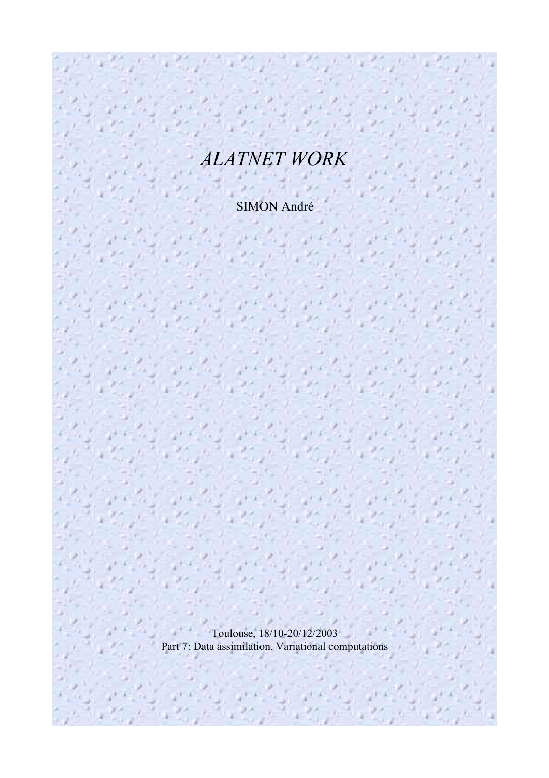# *ALATNET WORK*

SIMON André

Toulouse, 18/10-20/12/2003 Part 7: Data assimilation, Variational computations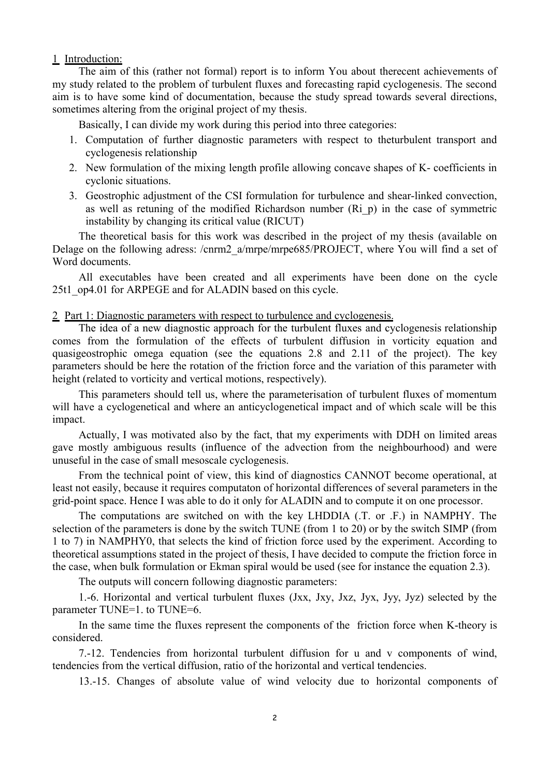#### 1 Introduction:

The aim of this (rather not formal) report is to inform You about therecent achievements of my study related to the problem of turbulent fluxes and forecasting rapid cyclogenesis. The second aim is to have some kind of documentation, because the study spread towards several directions, sometimes altering from the original project of my thesis.

Basically, I can divide my work during this period into three categories:

- 1. Computation of further diagnostic parameters with respect to theturbulent transport and cyclogenesis relationship
- 2. New formulation of the mixing length profile allowing concave shapes of K- coefficients in cyclonic situations.
- 3. Geostrophic adjustment of the CSI formulation for turbulence and shear-linked convection, as well as retuning of the modified Richardson number (Ri\_p) in the case of symmetric instability by changing its critical value (RICUT)

The theoretical basis for this work was described in the project of my thesis (available on Delage on the following adress: /cnrm2\_a/mrpe/mrpe685/PROJECT, where You will find a set of Word documents.

All executables have been created and all experiments have been done on the cycle 25t1\_op4.01 for ARPEGE and for ALADIN based on this cycle.

#### 2 Part 1: Diagnostic parameters with respect to turbulence and cyclogenesis.

The idea of a new diagnostic approach for the turbulent fluxes and cyclogenesis relationship comes from the formulation of the effects of turbulent diffusion in vorticity equation and quasigeostrophic omega equation (see the equations 2.8 and 2.11 of the project). The key parameters should be here the rotation of the friction force and the variation of this parameter with height (related to vorticity and vertical motions, respectively).

This parameters should tell us, where the parameterisation of turbulent fluxes of momentum will have a cyclogenetical and where an anticyclogenetical impact and of which scale will be this impact.

Actually, I was motivated also by the fact, that my experiments with DDH on limited areas gave mostly ambiguous results (influence of the advection from the neighbourhood) and were unuseful in the case of small mesoscale cyclogenesis.

From the technical point of view, this kind of diagnostics CANNOT become operational, at least not easily, because it requires computaton of horizontal differences of several parameters in the grid-point space. Hence I was able to do it only for ALADIN and to compute it on one processor.

The computations are switched on with the key LHDDIA (.T. or .F.) in NAMPHY. The selection of the parameters is done by the switch TUNE (from 1 to 20) or by the switch SIMP (from 1 to 7) in NAMPHY0, that selects the kind of friction force used by the experiment. According to theoretical assumptions stated in the project of thesis, I have decided to compute the friction force in the case, when bulk formulation or Ekman spiral would be used (see for instance the equation 2.3).

The outputs will concern following diagnostic parameters:

1.-6. Horizontal and vertical turbulent fluxes (Jxx, Jxy, Jxz, Jyx, Jyy, Jyz) selected by the parameter TUNE=1. to TUNE=6.

In the same time the fluxes represent the components of the friction force when K-theory is considered.

7.-12. Tendencies from horizontal turbulent diffusion for u and v components of wind, tendencies from the vertical diffusion, ratio of the horizontal and vertical tendencies.

13.-15. Changes of absolute value of wind velocity due to horizontal components of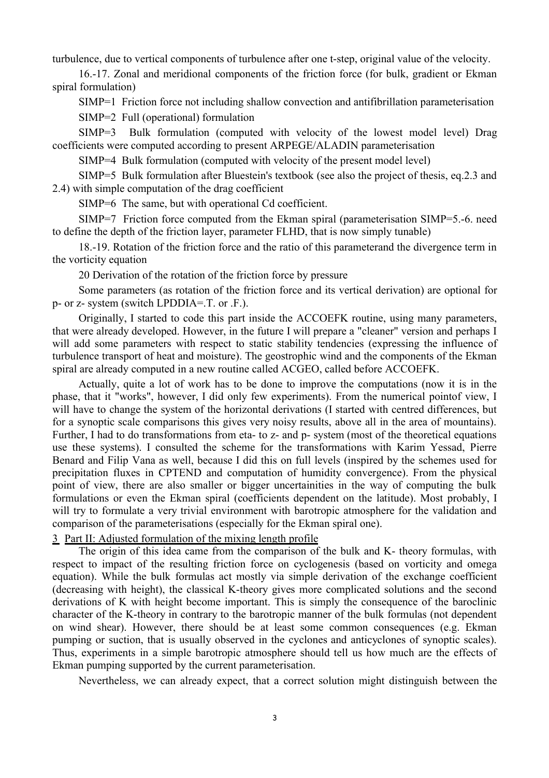turbulence, due to vertical components of turbulence after one t-step, original value of the velocity.

16.-17. Zonal and meridional components of the friction force (for bulk, gradient or Ekman spiral formulation)

SIMP=1 Friction force not including shallow convection and antifibrillation parameterisation SIMP=2 Full (operational) formulation

SIMP=3 Bulk formulation (computed with velocity of the lowest model level) Drag coefficients were computed according to present ARPEGE/ALADIN parameterisation

SIMP=4 Bulk formulation (computed with velocity of the present model level)

SIMP=5 Bulk formulation after Bluestein's textbook (see also the project of thesis, eq.2.3 and 2.4) with simple computation of the drag coefficient

SIMP=6 The same, but with operational Cd coefficient.

SIMP=7 Friction force computed from the Ekman spiral (parameterisation SIMP=5.-6. need to define the depth of the friction layer, parameter FLHD, that is now simply tunable)

18.-19. Rotation of the friction force and the ratio of this parameterand the divergence term in the vorticity equation

20 Derivation of the rotation of the friction force by pressure

Some parameters (as rotation of the friction force and its vertical derivation) are optional for p- or z- system (switch LPDDIA=.T. or .F.).

Originally, I started to code this part inside the ACCOEFK routine, using many parameters, that were already developed. However, in the future I will prepare a "cleaner" version and perhaps I will add some parameters with respect to static stability tendencies (expressing the influence of turbulence transport of heat and moisture). The geostrophic wind and the components of the Ekman spiral are already computed in a new routine called ACGEO, called before ACCOEFK.

Actually, quite a lot of work has to be done to improve the computations (now it is in the phase, that it "works", however, I did only few experiments). From the numerical pointof view, I will have to change the system of the horizontal derivations (I started with centred differences, but for a synoptic scale comparisons this gives very noisy results, above all in the area of mountains). Further, I had to do transformations from eta- to z- and p- system (most of the theoretical equations use these systems). I consulted the scheme for the transformations with Karim Yessad, Pierre Benard and Filip Vana as well, because I did this on full levels (inspired by the schemes used for precipitation fluxes in CPTEND and computation of humidity convergence). From the physical point of view, there are also smaller or bigger uncertainities in the way of computing the bulk formulations or even the Ekman spiral (coefficients dependent on the latitude). Most probably, I will try to formulate a very trivial environment with barotropic atmosphere for the validation and comparison of the parameterisations (especially for the Ekman spiral one).

## 3 Part II: Adjusted formulation of the mixing length profile

The origin of this idea came from the comparison of the bulk and K- theory formulas, with respect to impact of the resulting friction force on cyclogenesis (based on vorticity and omega equation). While the bulk formulas act mostly via simple derivation of the exchange coefficient (decreasing with height), the classical K-theory gives more complicated solutions and the second derivations of K with height become important. This is simply the consequence of the baroclinic character of the K-theory in contrary to the barotropic manner of the bulk formulas (not dependent on wind shear). However, there should be at least some common consequences (e.g. Ekman pumping or suction, that is usually observed in the cyclones and anticyclones of synoptic scales). Thus, experiments in a simple barotropic atmosphere should tell us how much are the effects of Ekman pumping supported by the current parameterisation.

Nevertheless, we can already expect, that a correct solution might distinguish between the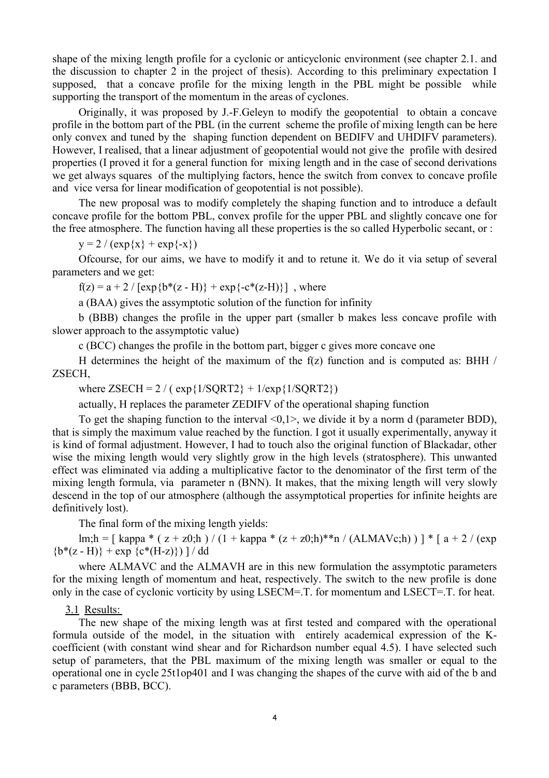shape of the mixing length profile for a cyclonic or anticyclonic environment (see chapter 2.1. and the discussion to chapter 2 in the project of thesis). According to this preliminary expectation I supposed, that a concave profile for the mixing length in the PBL might be possible while supporting the transport of the momentum in the areas of cyclones.

Originally, it was proposed by J.-F.Geleyn to modify the geopotential to obtain a concave profile in the bottom part of the PBL (in the current scheme the profile of mixing length can be here only convex and tuned by the shaping function dependent on BEDIFV and UHDIFV parameters). However, I realised, that a linear adjustment of geopotential would not give the profile with desired properties (I proved it for a general function for mixing length and in the case of second derivations we get always squares of the multiplying factors, hence the switch from convex to concave profile and vice versa for linear modification of geopotential is not possible).

The new proposal was to modify completely the shaping function and to introduce a default concave profile for the bottom PBL, convex profile for the upper PBL and slightly concave one for the free atmosphere. The function having all these properties is the so called Hyperbolic secant, or :

 $y = 2 / (exp{x} + exp{-x})$ 

Ofcourse, for our aims, we have to modify it and to retune it. We do it via setup of several parameters and we get:

 $f(z) = a + 2 / [\exp{b*(z - H)} + \exp{-c*(z-H)}]$ , where

a (BAA) gives the assymptotic solution of the function for infinity

b (BBB) changes the profile in the upper part (smaller b makes less concave profile with slower approach to the assymptotic value)

c (BCC) changes the profile in the bottom part, bigger c gives more concave one

H determines the height of the maximum of the  $f(z)$  function and is computed as: BHH / ZSECH,

where  $ZSECH = 2 / ( exp{1/SQRT2} + 1/exp{1/SQRT2})$ 

actually, H replaces the parameter ZEDIFV of the operational shaping function

To get the shaping function to the interval  $\leq 0,1$ , we divide it by a norm d (parameter BDD), that is simply the maximum value reached by the function. I got it usually experimentally, anyway it is kind of formal adjustment. However, I had to touch also the original function of Blackadar, other wise the mixing length would very slightly grow in the high levels (stratosphere). This unwanted effect was eliminated via adding a multiplicative factor to the denominator of the first term of the mixing length formula, via parameter n (BNN). It makes, that the mixing length will very slowly descend in the top of our atmosphere (although the assymptotical properties for infinite heights are definitively lost).

The final form of the mixing length yields:

lm;h = [ kappa \* ( z + z0;h ) / (1 + kappa \* (z + z0;h)\*\*n / (ALMAVc;h) ) ] \* [ a + 2 / (exp  ${b*(z - H)} + exp {(c*(H-z))}$  | / dd

where ALMAVC and the ALMAVH are in this new formulation the assymptotic parameters for the mixing length of momentum and heat, respectively. The switch to the new profile is done only in the case of cyclonic vorticity by using LSECM=.T. for momentum and LSECT=.T. for heat.

#### 3.1 Results:

The new shape of the mixing length was at first tested and compared with the operational formula outside of the model, in the situation with entirely academical expression of the Kcoefficient (with constant wind shear and for Richardson number equal 4.5). I have selected such setup of parameters, that the PBL maximum of the mixing length was smaller or equal to the operational one in cycle 25t1op401 and I was changing the shapes of the curve with aid of the b and c parameters (BBB, BCC).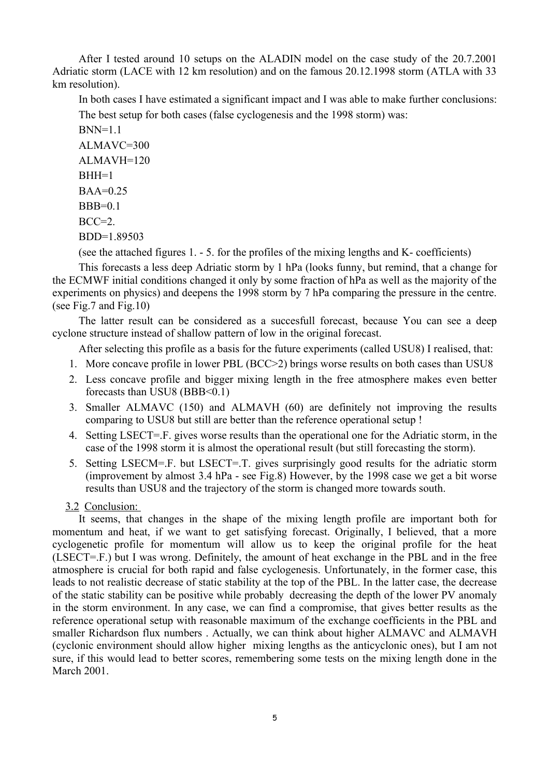After I tested around 10 setups on the ALADIN model on the case study of the 20.7.2001 Adriatic storm (LACE with 12 km resolution) and on the famous 20.12.1998 storm (ATLA with 33 km resolution).

In both cases I have estimated a significant impact and I was able to make further conclusions: The best setup for both cases (false cyclogenesis and the 1998 storm) was:

 $BNN=1.1$ ALMAVC=300 ALMAVH=120  $BHH=1$  $BAA=0.25$  $BBB=0.1$  $BCC=2$ BDD=1.89503

(see the attached figures 1. - 5. for the profiles of the mixing lengths and K- coefficients)

This forecasts a less deep Adriatic storm by 1 hPa (looks funny, but remind, that a change for the ECMWF initial conditions changed it only by some fraction of hPa as well as the majority of the experiments on physics) and deepens the 1998 storm by 7 hPa comparing the pressure in the centre. (see Fig.7 and Fig.10)

The latter result can be considered as a succesfull forecast, because You can see a deep cyclone structure instead of shallow pattern of low in the original forecast.

After selecting this profile as a basis for the future experiments (called USU8) I realised, that:

- 1. More concave profile in lower PBL (BCC>2) brings worse results on both cases than USU8
- 2. Less concave profile and bigger mixing length in the free atmosphere makes even better forecasts than USU8 (BBB<0.1)
- 3. Smaller ALMAVC (150) and ALMAVH (60) are definitely not improving the results comparing to USU8 but still are better than the reference operational setup !
- 4. Setting LSECT=.F. gives worse results than the operational one for the Adriatic storm, in the case of the 1998 storm it is almost the operational result (but still forecasting the storm).
- 5. Setting LSECM=.F. but LSECT=.T. gives surprisingly good results for the adriatic storm (improvement by almost 3.4 hPa - see Fig.8) However, by the 1998 case we get a bit worse results than USU8 and the trajectory of the storm is changed more towards south.

#### 3.2 Conclusion:

It seems, that changes in the shape of the mixing length profile are important both for momentum and heat, if we want to get satisfying forecast. Originally, I believed, that a more cyclogenetic profile for momentum will allow us to keep the original profile for the heat (LSECT=.F.) but I was wrong. Definitely, the amount of heat exchange in the PBL and in the free atmosphere is crucial for both rapid and false cyclogenesis. Unfortunately, in the former case, this leads to not realistic decrease of static stability at the top of the PBL. In the latter case, the decrease of the static stability can be positive while probably decreasing the depth of the lower PV anomaly in the storm environment. In any case, we can find a compromise, that gives better results as the reference operational setup with reasonable maximum of the exchange coefficients in the PBL and smaller Richardson flux numbers . Actually, we can think about higher ALMAVC and ALMAVH (cyclonic environment should allow higher mixing lengths as the anticyclonic ones), but I am not sure, if this would lead to better scores, remembering some tests on the mixing length done in the March 2001.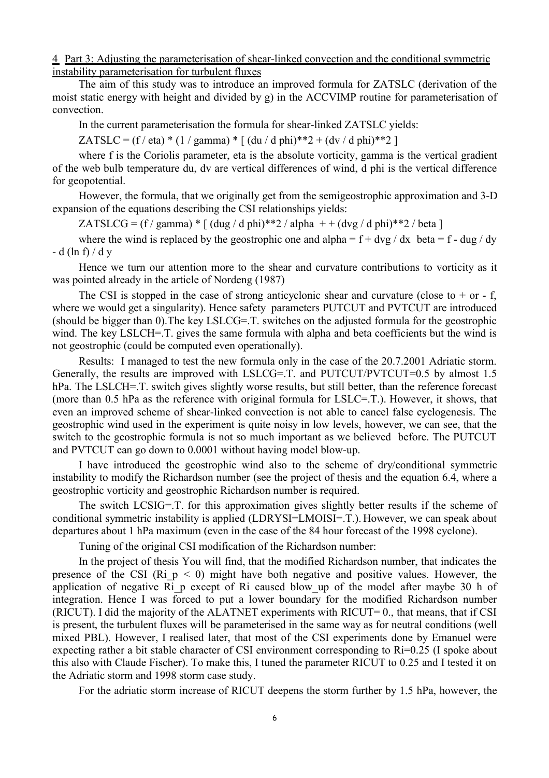## 4 Part 3: Adjusting the parameterisation of shear-linked convection and the conditional symmetric instability parameterisation for turbulent fluxes

The aim of this study was to introduce an improved formula for ZATSLC (derivation of the moist static energy with height and divided by g) in the ACCVIMP routine for parameterisation of convection.

In the current parameterisation the formula for shear-linked ZATSLC yields:

ZATSLC =  $(f / eta) * (1 / gamma) * [ (du / d phi) * *2 + (dv / d phi) * *2 ]$ 

where f is the Coriolis parameter, eta is the absolute vorticity, gamma is the vertical gradient of the web bulb temperature du, dv are vertical differences of wind, d phi is the vertical difference for geopotential.

However, the formula, that we originally get from the semigeostrophic approximation and 3-D expansion of the equations describing the CSI relationships yields:

ZATSLCG =  $(f / gamma)$  \*  $[(dug / d phi)*2 / alpha + (dvg / d phi)*2 / beta]$ 

where the wind is replaced by the geostrophic one and alpha =  $f + dvg / dx$  beta = f - dug / dy - d (ln f)  $/$  d y

Hence we turn our attention more to the shear and curvature contributions to vorticity as it was pointed already in the article of Nordeng (1987)

The CSI is stopped in the case of strong anticyclonic shear and curvature (close to  $+$  or  $-$  f, where we would get a singularity). Hence safety parameters PUTCUT and PVTCUT are introduced (should be bigger than 0).The key LSLCG=.T. switches on the adjusted formula for the geostrophic wind. The key LSLCH=.T. gives the same formula with alpha and beta coefficients but the wind is not geostrophic (could be computed even operationally).

Results: I managed to test the new formula only in the case of the 20.7.2001 Adriatic storm. Generally, the results are improved with LSLCG=.T. and PUTCUT/PVTCUT=0.5 by almost 1.5 hPa. The LSLCH=.T. switch gives slightly worse results, but still better, than the reference forecast (more than 0.5 hPa as the reference with original formula for LSLC=.T.). However, it shows, that even an improved scheme of shear-linked convection is not able to cancel false cyclogenesis. The geostrophic wind used in the experiment is quite noisy in low levels, however, we can see, that the switch to the geostrophic formula is not so much important as we believed before. The PUTCUT and PVTCUT can go down to 0.0001 without having model blow-up.

I have introduced the geostrophic wind also to the scheme of dry/conditional symmetric instability to modify the Richardson number (see the project of thesis and the equation 6.4, where a geostrophic vorticity and geostrophic Richardson number is required.

The switch LCSIG=.T. for this approximation gives slightly better results if the scheme of conditional symmetric instability is applied (LDRYSI=LMOISI=.T.). However, we can speak about departures about 1 hPa maximum (even in the case of the 84 hour forecast of the 1998 cyclone).

Tuning of the original CSI modification of the Richardson number:

In the project of thesis You will find, that the modified Richardson number, that indicates the presence of the CSI (Ri  $p \le 0$ ) might have both negative and positive values. However, the application of negative Ri p except of Ri caused blow up of the model after maybe 30 h of integration. Hence I was forced to put a lower boundary for the modified Richardson number (RICUT). I did the majority of the ALATNET experiments with RICUT=  $0$ , that means, that if CSI is present, the turbulent fluxes will be parameterised in the same way as for neutral conditions (well mixed PBL). However, I realised later, that most of the CSI experiments done by Emanuel were expecting rather a bit stable character of CSI environment corresponding to Ri=0.25 (I spoke about this also with Claude Fischer). To make this, I tuned the parameter RICUT to 0.25 and I tested it on the Adriatic storm and 1998 storm case study.

For the adriatic storm increase of RICUT deepens the storm further by 1.5 hPa, however, the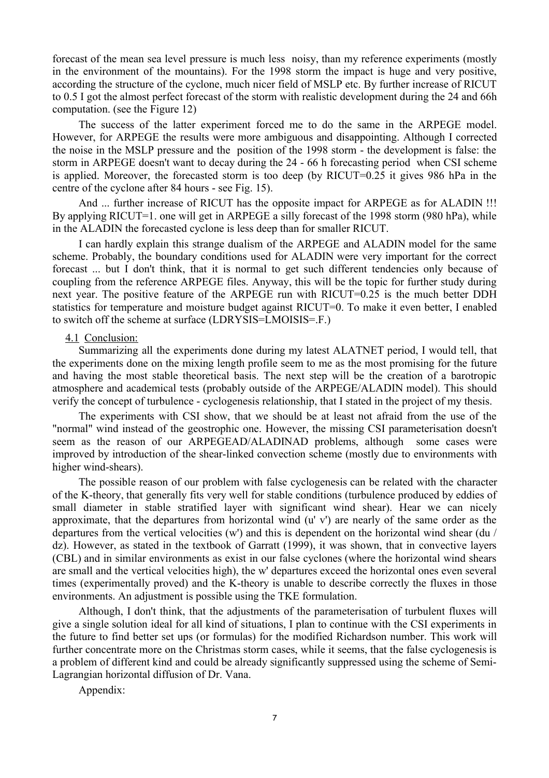forecast of the mean sea level pressure is much less noisy, than my reference experiments (mostly in the environment of the mountains). For the 1998 storm the impact is huge and very positive, according the structure of the cyclone, much nicer field of MSLP etc. By further increase of RICUT to 0.5 I got the almost perfect forecast of the storm with realistic development during the 24 and 66h computation. (see the Figure 12)

The success of the latter experiment forced me to do the same in the ARPEGE model. However, for ARPEGE the results were more ambiguous and disappointing. Although I corrected the noise in the MSLP pressure and the position of the 1998 storm - the development is false: the storm in ARPEGE doesn't want to decay during the 24 - 66 h forecasting period when CSI scheme is applied. Moreover, the forecasted storm is too deep (by RICUT=0.25 it gives 986 hPa in the centre of the cyclone after 84 hours - see Fig. 15).

And ... further increase of RICUT has the opposite impact for ARPEGE as for ALADIN !!! By applying RICUT=1. one will get in ARPEGE a silly forecast of the 1998 storm (980 hPa), while in the ALADIN the forecasted cyclone is less deep than for smaller RICUT.

I can hardly explain this strange dualism of the ARPEGE and ALADIN model for the same scheme. Probably, the boundary conditions used for ALADIN were very important for the correct forecast ... but I don't think, that it is normal to get such different tendencies only because of coupling from the reference ARPEGE files. Anyway, this will be the topic for further study during next year. The positive feature of the ARPEGE run with RICUT=0.25 is the much better DDH statistics for temperature and moisture budget against RICUT=0. To make it even better, I enabled to switch off the scheme at surface (LDRYSIS=LMOISIS=.F.)

#### 4.1 Conclusion:

Summarizing all the experiments done during my latest ALATNET period, I would tell, that the experiments done on the mixing length profile seem to me as the most promising for the future and having the most stable theoretical basis. The next step will be the creation of a barotropic atmosphere and academical tests (probably outside of the ARPEGE/ALADIN model). This should verify the concept of turbulence - cyclogenesis relationship, that I stated in the project of my thesis.

The experiments with CSI show, that we should be at least not afraid from the use of the "normal" wind instead of the geostrophic one. However, the missing CSI parameterisation doesn't seem as the reason of our ARPEGEAD/ALADINAD problems, although some cases were improved by introduction of the shear-linked convection scheme (mostly due to environments with higher wind-shears).

The possible reason of our problem with false cyclogenesis can be related with the character of the K-theory, that generally fits very well for stable conditions (turbulence produced by eddies of small diameter in stable stratified layer with significant wind shear). Hear we can nicely approximate, that the departures from horizontal wind (u' v') are nearly of the same order as the departures from the vertical velocities (w') and this is dependent on the horizontal wind shear (du / dz). However, as stated in the textbook of Garratt (1999), it was shown, that in convective layers (CBL) and in similar environments as exist in our false cyclones (where the horizontal wind shears are small and the vertical velocities high), the w' departures exceed the horizontal ones even several times (experimentally proved) and the K-theory is unable to describe correctly the fluxes in those environments. An adjustment is possible using the TKE formulation.

Although, I don't think, that the adjustments of the parameterisation of turbulent fluxes will give a single solution ideal for all kind of situations, I plan to continue with the CSI experiments in the future to find better set ups (or formulas) for the modified Richardson number. This work will further concentrate more on the Christmas storm cases, while it seems, that the false cyclogenesis is a problem of different kind and could be already significantly suppressed using the scheme of Semi-Lagrangian horizontal diffusion of Dr. Vana.

Appendix: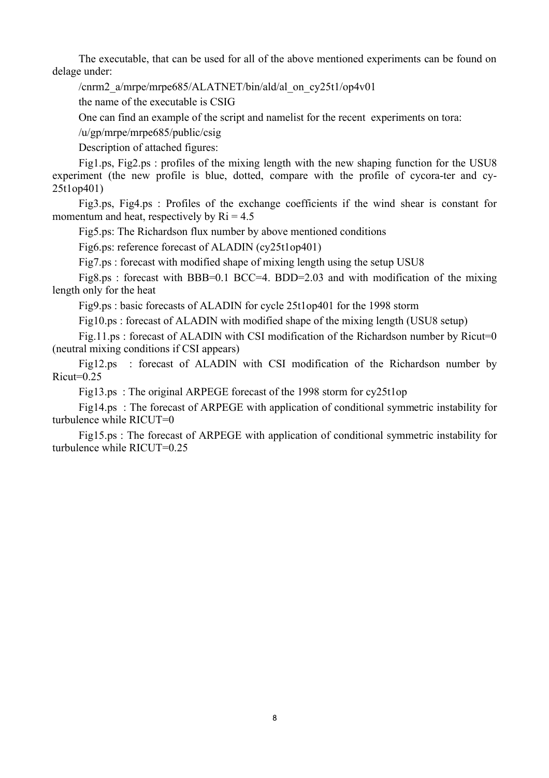The executable, that can be used for all of the above mentioned experiments can be found on delage under:

/cnrm2\_a/mrpe/mrpe685/ALATNET/bin/ald/al\_on\_cy25t1/op4v01

the name of the executable is CSIG

One can find an example of the script and namelist for the recent experiments on tora:

/u/gp/mrpe/mrpe685/public/csig

Description of attached figures:

Fig1.ps, Fig2.ps : profiles of the mixing length with the new shaping function for the USU8 experiment (the new profile is blue, dotted, compare with the profile of cycora-ter and cy-25t1op401)

Fig3.ps, Fig4.ps : Profiles of the exchange coefficients if the wind shear is constant for momentum and heat, respectively by  $\text{Ri} = 4.5$ 

Fig5.ps: The Richardson flux number by above mentioned conditions

Fig6.ps: reference forecast of ALADIN (cy25t1op401)

Fig7.ps : forecast with modified shape of mixing length using the setup USU8

Fig8.ps : forecast with BBB=0.1 BCC=4. BDD=2.03 and with modification of the mixing length only for the heat

Fig9.ps : basic forecasts of ALADIN for cycle 25t1op401 for the 1998 storm

Fig10.ps : forecast of ALADIN with modified shape of the mixing length (USU8 setup)

Fig.11.ps : forecast of ALADIN with CSI modification of the Richardson number by Ricut=0 (neutral mixing conditions if CSI appears)

Fig12.ps : forecast of ALADIN with CSI modification of the Richardson number by  $Ricut=0.25$ 

Fig13.ps : The original ARPEGE forecast of the 1998 storm for cy25t1op

Fig14.ps : The forecast of ARPEGE with application of conditional symmetric instability for turbulence while RICUT=0

Fig15.ps : The forecast of ARPEGE with application of conditional symmetric instability for turbulence while RICUT=0.25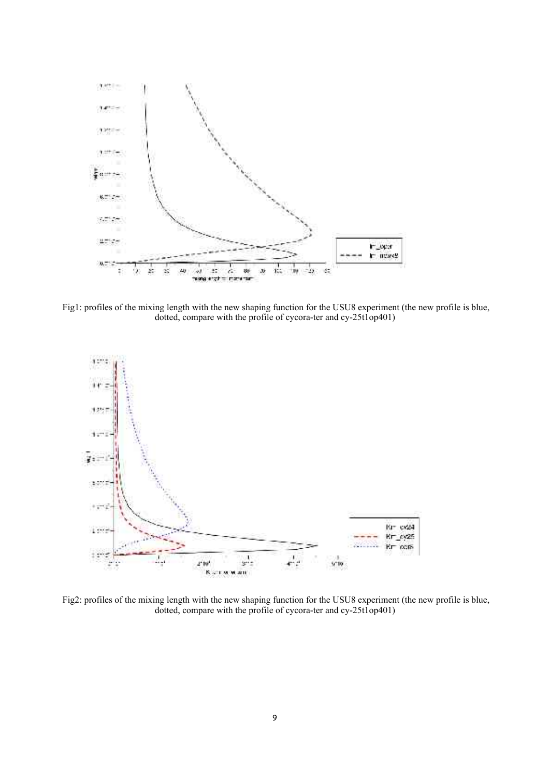

Fig1: profiles of the mixing length with the new shaping function for the USU8 experiment (the new profile is blue, dotted, compare with the profile of cycora-ter and cy-25t1op401)



Fig2: profiles of the mixing length with the new shaping function for the USU8 experiment (the new profile is blue, dotted, compare with the profile of cycora-ter and cy-25t1op401)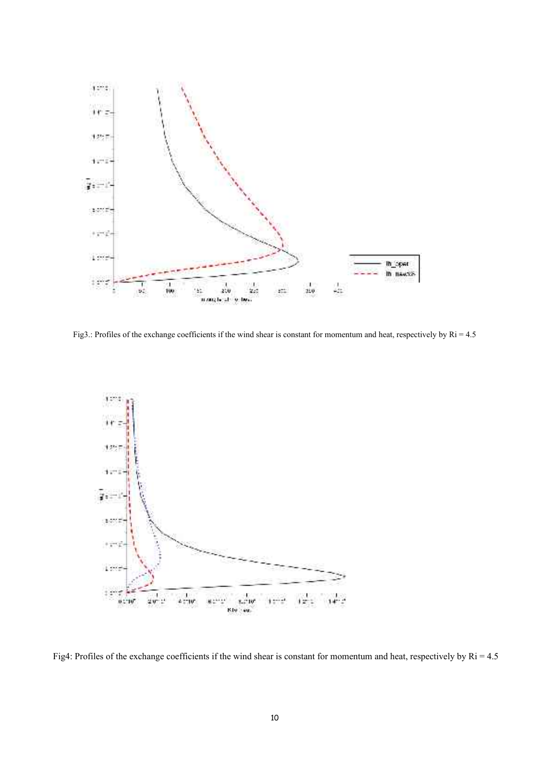

Fig3.: Profiles of the exchange coefficients if the wind shear is constant for momentum and heat, respectively by Ri = 4.5



Fig4: Profiles of the exchange coefficients if the wind shear is constant for momentum and heat, respectively by Ri = 4.5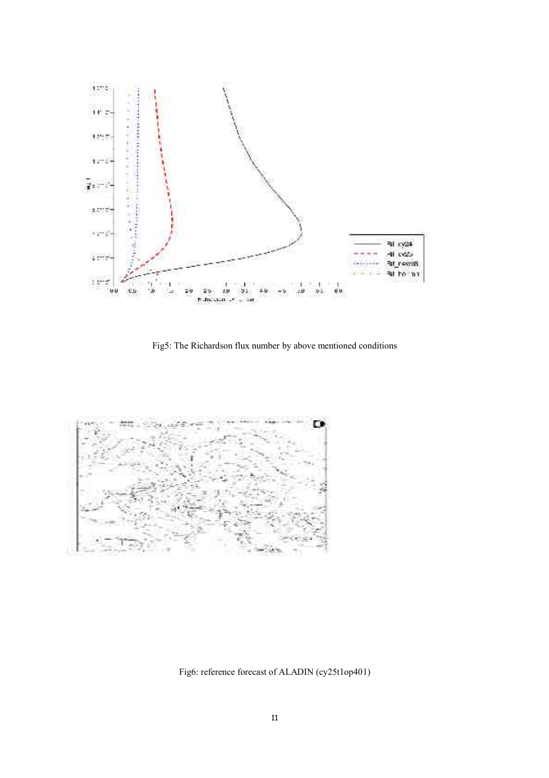

Fig5: The Richardson flux number by above mentioned conditions



Fig6: reference forecast of ALADIN (cy25t1op401)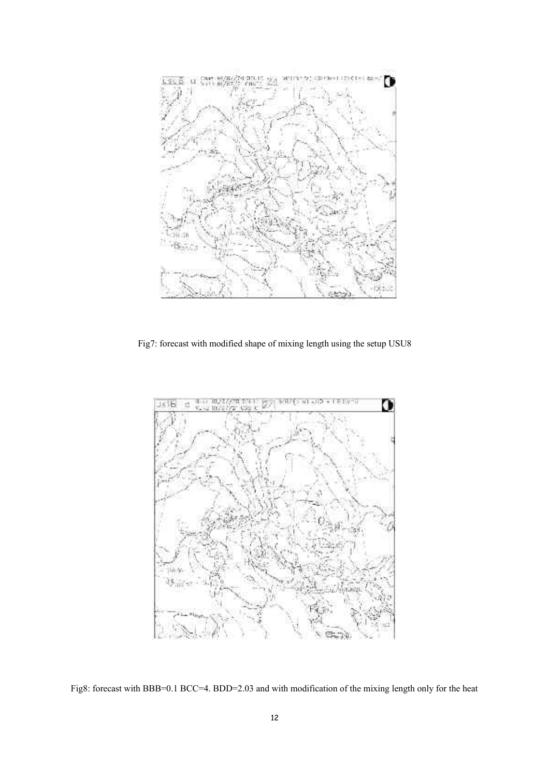

Fig7: forecast with modified shape of mixing length using the setup USU8



Fig8: forecast with BBB=0.1 BCC=4. BDD=2.03 and with modification of the mixing length only for the heat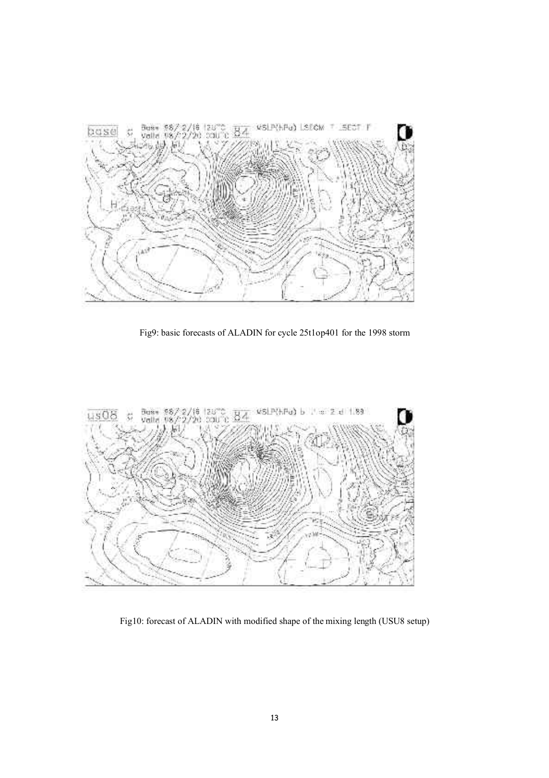

Fig9: basic forecasts of ALADIN for cycle 25t1op401 for the 1998 storm



Fig10: forecast of ALADIN with modified shape of the mixing length (USU8 setup)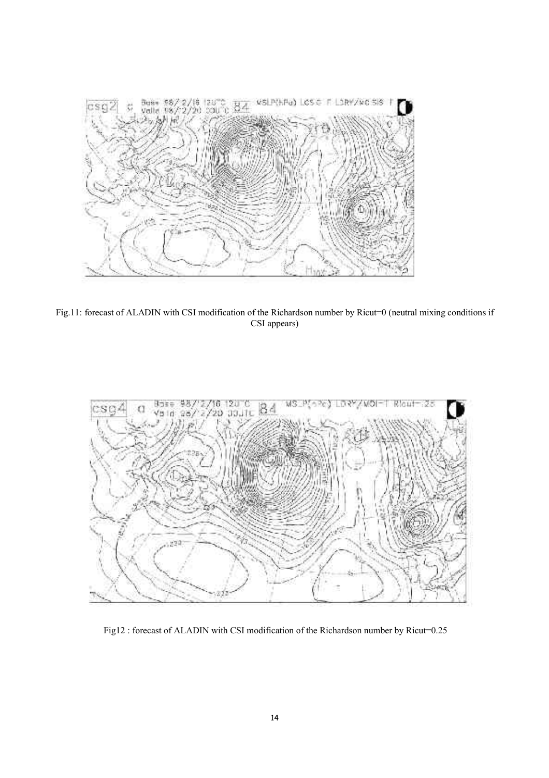

Fig.11: forecast of ALADIN with CSI modification of the Richardson number by Ricut=0 (neutral mixing conditions if CSI appears)



Fig12 : forecast of ALADIN with CSI modification of the Richardson number by Ricut=0.25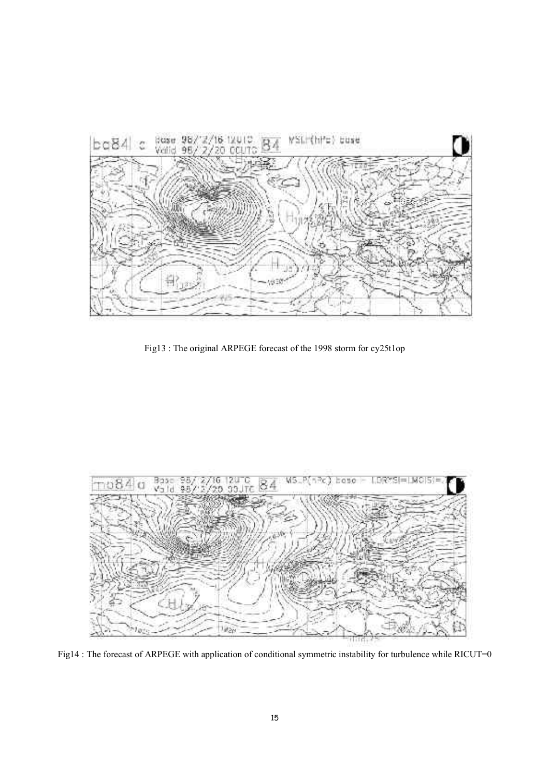

Fig13 : The original ARPEGE forecast of the 1998 storm for cy25t1op



Fig14 : The forecast of ARPEGE with application of conditional symmetric instability for turbulence while RICUT=0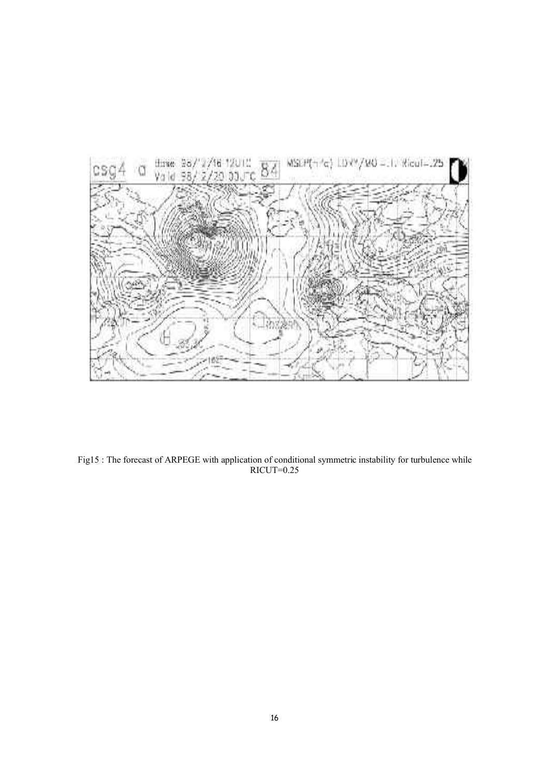

Fig15 : The forecast of ARPEGE with application of conditional symmetric instability for turbulence while RICUT=0.25